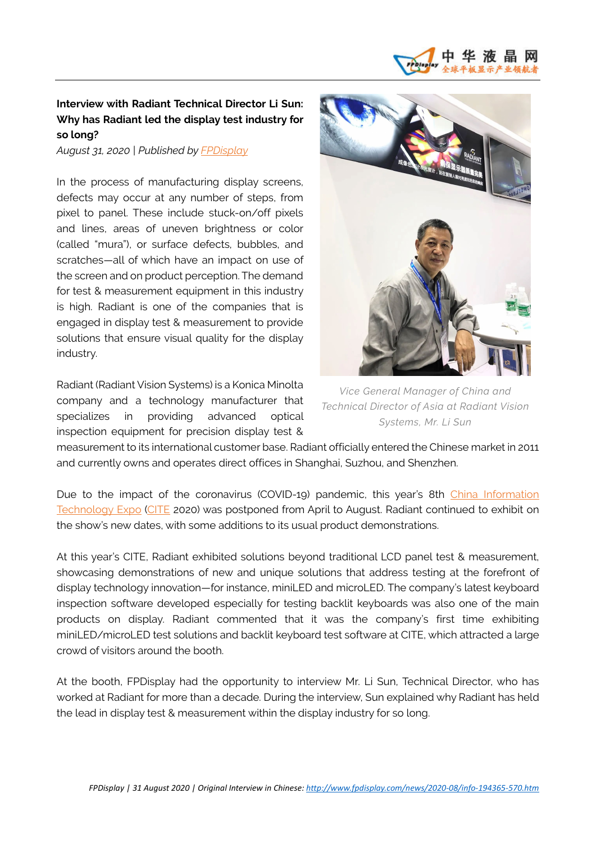

## **Interview with Radiant Technical Director Li Sun: Why has Radiant led the display test industry for so long?**

*August 31, 2020 | Published b[y FPDisplay](http://www.fpdisplay.com/)*

In the process of manufacturing display screens, defects may occur at any number of steps, from pixel to panel. These include stuck-on/off pixels and lines, areas of uneven brightness or color (called "mura"), or surface defects, bubbles, and scratches—all of which have an impact on use of the screen and on product perception. The demand for test & measurement equipment in this industry is high. Radiant is one of the companies that is engaged in display test & measurement to provide solutions that ensure visual quality for the display industry.

Radiant (Radiant Vision Systems) is a Konica Minolta company and a technology manufacturer that specializes in providing advanced optical inspection equipment for precision display test &



*Vice General Manager of China and Technical Director of Asia at Radiant Vision Systems, Mr. Li Sun*

measurement to its international customer base. Radiant officially entered the Chinese market in 2011 and currently owns and operates direct offices in Shanghai, Suzhou, and Shenzhen.

Due to the impact of the coronavirus (COVID-19) pandemic, this year's 8th [China Information](http://www.citexpo.org/)  [Technology Expo](http://www.citexpo.org/) [\(CITE](http://www.citexpo.org/) 2020) was postponed from April to August. Radiant continued to exhibit on the show's new dates, with some additions to its usual product demonstrations.

At this year's CITE, Radiant exhibited solutions beyond traditional LCD panel test & measurement, showcasing demonstrations of new and unique solutions that address testing at the forefront of display technology innovation—for instance, miniLED and microLED. The company's latest keyboard inspection software developed especially for testing backlit keyboards was also one of the main products on display. Radiant commented that it was the company's first time exhibiting miniLED/microLED test solutions and backlit keyboard test software at CITE, which attracted a large crowd of visitors around the booth.

At the booth, FPDisplay had the opportunity to interview Mr. Li Sun, Technical Director, who has worked at Radiant for more than a decade. During the interview, Sun explained why Radiant has held the lead in display test & measurement within the display industry for so long.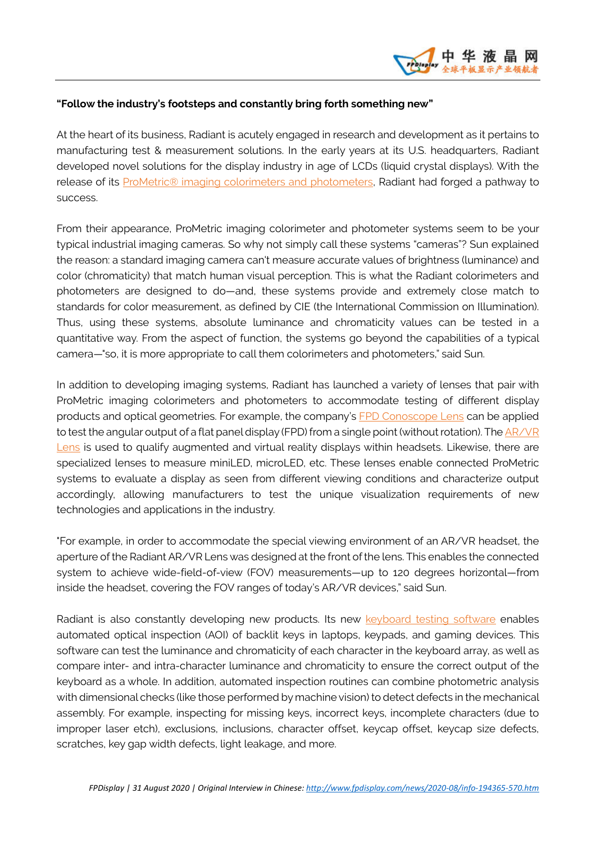## **"Follow the industry's footsteps and constantly bring forth something new"**

At the heart of its business, Radiant is acutely engaged in research and development as it pertains to manufacturing test & measurement solutions. In the early years at its U.S. headquarters, Radiant developed novel solutions for the display industry in age of LCDs (liquid crystal displays). With the release of its ProMetric® [imaging colorimeters and photometers,](https://www.radiantvisionsystems.com/products/imaging-colorimeters-photometers?utm_campaign=vehicledisplays2020&utm_source=pr&utm_medium=pr) Radiant had forged a pathway to success.

From their appearance, ProMetric imaging colorimeter and photometer systems seem to be your typical industrial imaging cameras. So why not simply call these systems "cameras"? Sun explained the reason: a standard imaging camera can't measure accurate values of brightness (luminance) and color (chromaticity) that match human visual perception. This is what the Radiant colorimeters and photometers are designed to do—and, these systems provide and extremely close match to standards for color measurement, as defined by CIE (the International Commission on Illumination). Thus, using these systems, absolute luminance and chromaticity values can be tested in a quantitative way. From the aspect of function, the systems go beyond the capabilities of a typical camera—"so, it is more appropriate to call them colorimeters and photometers," said Sun.

In addition to developing imaging systems, Radiant has launched a variety of lenses that pair with ProMetric imaging colorimeters and photometers to accommodate testing of different display products and optical geometries. For example, the company's [FPD Conoscope Lens](https://www.radiantvisionsystems.com/products/fpd-conoscope-lens) can be applied to test the angular output of a flat panel display (FPD) from a single point (without rotation). The AR/VR [Lens](https://www.radiantvisionsystems.com/products/arvr-lens) is used to qualify augmented and virtual reality displays within headsets. Likewise, there are specialized lenses to measure miniLED, microLED, etc. These lenses enable connected ProMetric systems to evaluate a display as seen from different viewing conditions and characterize output accordingly, allowing manufacturers to test the unique visualization requirements of new technologies and applications in the industry.

"For example, in order to accommodate the special viewing environment of an AR/VR headset, the aperture of the Radiant AR/VR Lens was designed at the front of the lens. This enables the connected system to achieve wide-field-of-view (FOV) measurements—up to 120 degrees horizontal—from inside the headset, covering the FOV ranges of today's AR/VR devices," said Sun.

Radiant is also constantly developing new products. Its new [keyboard testing software](https://www.radiantvisionsystems.com/products/pm-kb-illuminated-keyboard-testing) enables automated optical inspection (AOI) of backlit keys in laptops, keypads, and gaming devices. This software can test the luminance and chromaticity of each character in the keyboard array, as well as compare inter- and intra-character luminance and chromaticity to ensure the correct output of the keyboard as a whole. In addition, automated inspection routines can combine photometric analysis with dimensional checks (like those performed by machine vision) to detect defects in the mechanical assembly. For example, inspecting for missing keys, incorrect keys, incomplete characters (due to improper laser etch), exclusions, inclusions, character offset, keycap offset, keycap size defects, scratches, key gap width defects, light leakage, and more.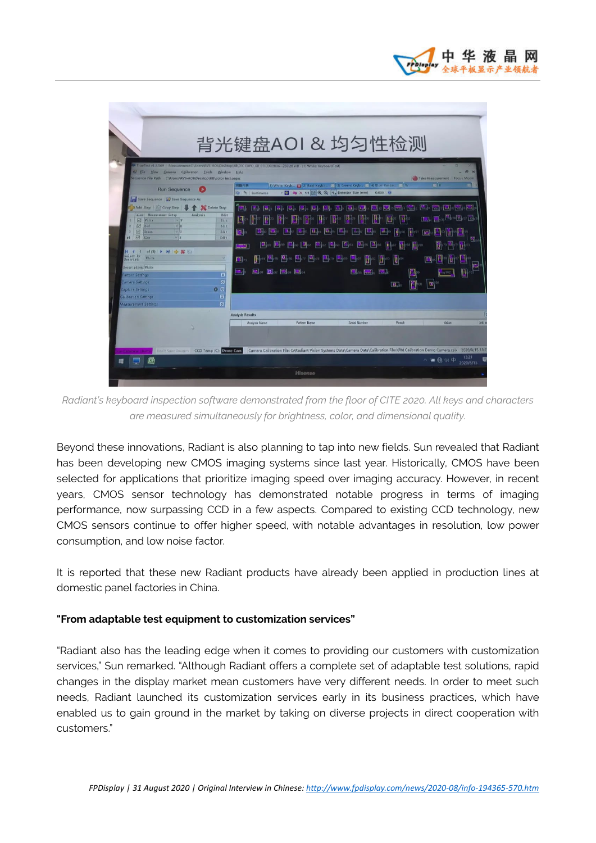

*Radiant's keyboard inspection software demonstrated from the floor of CITE 2020. All keys and characters are measured simultaneously for brightness, color, and dimensional quality.*

Beyond these innovations, Radiant is also planning to tap into new fields. Sun revealed that Radiant has been developing new CMOS imaging systems since last year. Historically, CMOS have been selected for applications that prioritize imaging speed over imaging accuracy. However, in recent years, CMOS sensor technology has demonstrated notable progress in terms of imaging performance, now surpassing CCD in a few aspects. Compared to existing CCD technology, new CMOS sensors continue to offer higher speed, with notable advantages in resolution, low power consumption, and low noise factor.

It is reported that these new Radiant products have already been applied in production lines at domestic panel factories in China.

## **"From adaptable test equipment to customization services"**

"Radiant also has the leading edge when it comes to providing our customers with customization services," Sun remarked. "Although Radiant offers a complete set of adaptable test solutions, rapid changes in the display market mean customers have very different needs. In order to meet such needs, Radiant launched its customization services early in its business practices, which have enabled us to gain ground in the market by taking on diverse projects in direct cooperation with customers."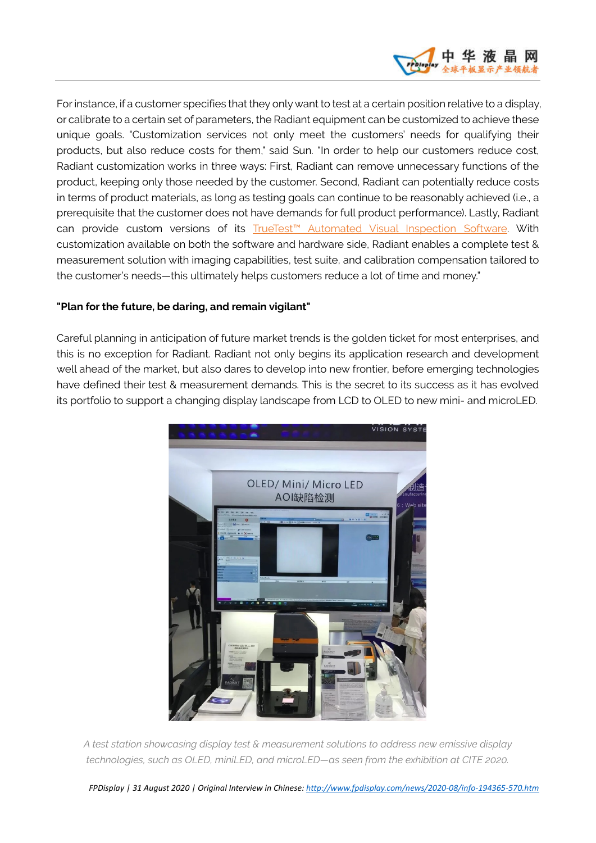

For instance, if a customer specifies that they only want to test at a certain position relative to a display, or calibrate to a certain set of parameters, the Radiant equipment can be customized to achieve these unique goals. "Customization services not only meet the customers' needs for qualifying their products, but also reduce costs for them," said Sun. "In order to help our customers reduce cost, Radiant customization works in three ways: First, Radiant can remove unnecessary functions of the product, keeping only those needed by the customer. Second, Radiant can potentially reduce costs in terms of product materials, as long as testing goals can continue to be reasonably achieved (i.e., a prerequisite that the customer does not have demands for full product performance). Lastly, Radiant can provide custom versions of its [TrueTest™ Automated Visual Inspection Software.](https://www.radiantvisionsystems.com/products/truetest-automated-visual-inspection-software?utm_campaign=vehicledisplays2020&utm_source=pr&utm_medium=pr) With customization available on both the software and hardware side, Radiant enables a complete test & measurement solution with imaging capabilities, test suite, and calibration compensation tailored to the customer's needs—this ultimately helps customers reduce a lot of time and money."

## **"Plan for the future, be daring, and remain vigilant"**

Careful planning in anticipation of future market trends is the golden ticket for most enterprises, and this is no exception for Radiant. Radiant not only begins its application research and development well ahead of the market, but also dares to develop into new frontier, before emerging technologies have defined their test & measurement demands. This is the secret to its success as it has evolved its portfolio to support a changing display landscape from LCD to OLED to new mini- and microLED.



*A test station showcasing display test & measurement solutions to address new emissive display technologies, such as OLED, miniLED, and microLED—as seen from the exhibition at CITE 2020.*